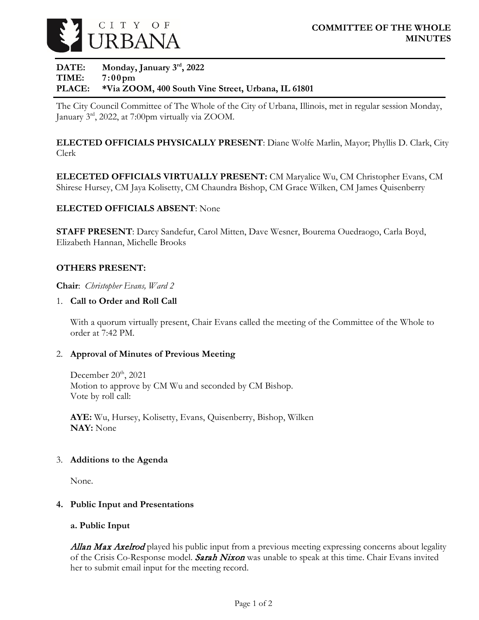

# **DATE: Monday, January 3rd, 2022 TIME: 7:00pm PLACE: \*Via ZOOM, 400 South Vine Street, Urbana, IL 61801**

The City Council Committee of The Whole of the City of Urbana, Illinois, met in regular session Monday, January 3rd, 2022, at 7:00pm virtually via ZOOM.

**ELECTED OFFICIALS PHYSICALLY PRESENT**: Diane Wolfe Marlin, Mayor; Phyllis D. Clark, City Clerk

**ELECETED OFFICIALS VIRTUALLY PRESENT:** CM Maryalice Wu, CM Christopher Evans, CM Shirese Hursey, CM Jaya Kolisetty, CM Chaundra Bishop, CM Grace Wilken, CM James Quisenberry

# **ELECTED OFFICIALS ABSENT**: None

**STAFF PRESENT**: Darcy Sandefur, Carol Mitten, Dave Wesner, Bourema Ouedraogo, Carla Boyd, Elizabeth Hannan, Michelle Brooks

# **OTHERS PRESENT:**

**Chair**: *Christopher Evans, Ward 2*

# 1. **Call to Order and Roll Call**

With a quorum virtually present, Chair Evans called the meeting of the Committee of the Whole to order at 7:42 PM.

#### 2. **Approval of Minutes of Previous Meeting**

December 20<sup>th</sup>, 2021 Motion to approve by CM Wu and seconded by CM Bishop. Vote by roll call:

**AYE:** Wu, Hursey, Kolisetty, Evans, Quisenberry, Bishop, Wilken **NAY:** None

#### 3. **Additions to the Agenda**

None.

#### **4. Public Input and Presentations**

#### **a. Public Input**

Allan Max Axelrod played his public input from a previous meeting expressing concerns about legality of the Crisis Co-Response model. Sarah Nixon was unable to speak at this time. Chair Evans invited her to submit email input for the meeting record.